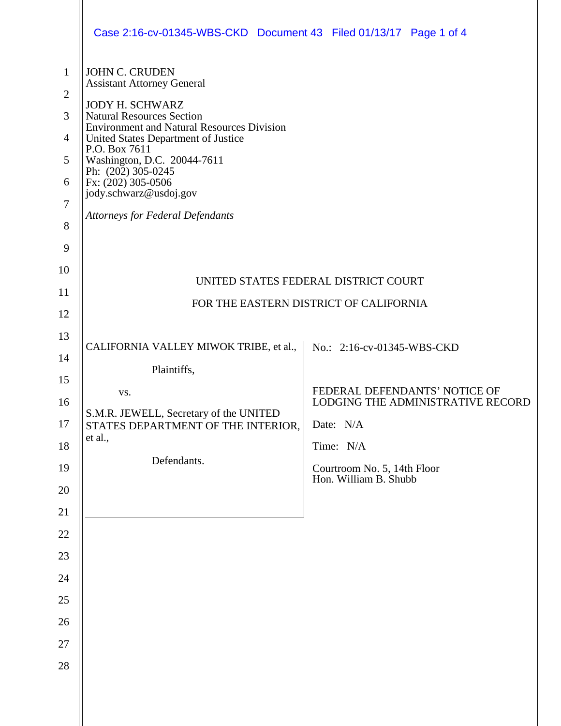|                                                                      | Case 2:16-cv-01345-WBS-CKD  Document 43  Filed 01/13/17  Page 1 of 4                                                                                                                                                                                                                                                                         |                                                                                                                                                           |
|----------------------------------------------------------------------|----------------------------------------------------------------------------------------------------------------------------------------------------------------------------------------------------------------------------------------------------------------------------------------------------------------------------------------------|-----------------------------------------------------------------------------------------------------------------------------------------------------------|
| $\mathbf{1}$<br>$\overline{2}$<br>3<br>$\overline{4}$<br>5<br>6<br>7 | <b>JOHN C. CRUDEN</b><br><b>Assistant Attorney General</b><br><b>JODY H. SCHWARZ</b><br><b>Natural Resources Section</b><br><b>Environment and Natural Resources Division</b><br>United States Department of Justice<br>P.O. Box 7611<br>Washington, D.C. 20044-7611<br>Ph: $(202)$ 305-0245<br>Fx: (202) 305-0506<br>jody.schwarz@usdoj.gov |                                                                                                                                                           |
| 8<br>9                                                               | <b>Attorneys for Federal Defendants</b>                                                                                                                                                                                                                                                                                                      |                                                                                                                                                           |
| 10<br>11<br>12                                                       |                                                                                                                                                                                                                                                                                                                                              | UNITED STATES FEDERAL DISTRICT COURT<br>FOR THE EASTERN DISTRICT OF CALIFORNIA                                                                            |
| 13<br>14<br>15<br>16<br>17<br>18<br>19                               | CALIFORNIA VALLEY MIWOK TRIBE, et al.,<br>Plaintiffs,<br>VS.<br>S.M.R. JEWELL, Secretary of the UNITED<br>STATES DEPARTMENT OF THE INTERIOR,<br>et al.,<br>Defendants.                                                                                                                                                                       | No.: 2:16-cv-01345-WBS-CKD<br>FEDERAL DEFENDANTS' NOTICE OF<br>LODGING THE ADMINISTRATIVE RECORD<br>Date: N/A<br>Time: N/A<br>Courtroom No. 5, 14th Floor |
| 20<br>21<br>22                                                       |                                                                                                                                                                                                                                                                                                                                              | Hon. William B. Shubb                                                                                                                                     |
| 23<br>24                                                             |                                                                                                                                                                                                                                                                                                                                              |                                                                                                                                                           |
| 25<br>26<br>27                                                       |                                                                                                                                                                                                                                                                                                                                              |                                                                                                                                                           |
| 28                                                                   |                                                                                                                                                                                                                                                                                                                                              |                                                                                                                                                           |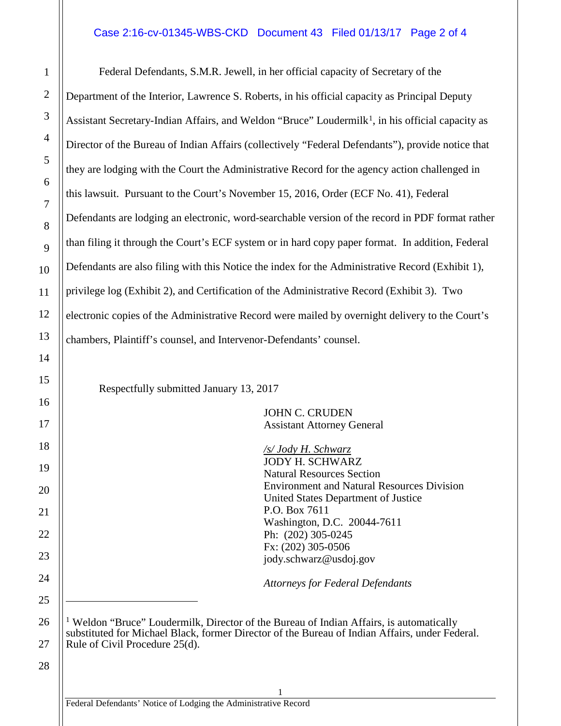## Case 2:16-cv-01345-WBS-CKD Document 43 Filed 01/13/17 Page 2 of 4

Federal Defendants, S.M.R. Jewell, in her official capacity of Secretary of the Department of the Interior, Lawrence S. Roberts, in his official capacity as Principal Deputy Assistant Secretary-Indian Affairs, and Weldon "Bruce" Loudermilk<sup>1</sup>, in his official capacity as Director of the Bureau of Indian Affairs (collectively "Federal Defendants"), provide notice that they are lodging with the Court the Administrative Record for the agency action challenged in this lawsuit. Pursuant to the Court's November 15, 2016, Order (ECF No. 41), Federal Defendants are lodging an electronic, word-searchable version of the record in PDF format rather than filing it through the Court's ECF system or in hard copy paper format. In addition, Federal Defendants are also filing with this Notice the index for the Administrative Record (Exhibit 1), privilege log (Exhibit 2), and Certification of the Administrative Record (Exhibit 3). Two electronic copies of the Administrative Record were mailed by overnight delivery to the Court's chambers, Plaintiff's counsel, and Intervenor-Defendants' counsel.

Respectfully submitted January 13, 2017

JOHN C. CRUDEN Assistant Attorney General

*/s/ Jody H. Schwarz* JODY H. SCHWARZ Natural Resources Section Environment and Natural Resources Division United States Department of Justice P.O. Box 7611 Washington, D.C. 20044-7611 Ph: (202) 305-0245 Fx: (202) 305-0506 jody.schwarz@usdoj.gov

*Attorneys for Federal Defendants*

<sup>1</sup> Weldon "Bruce" Loudermilk, Director of the Bureau of Indian Affairs, is automatically substituted for Michael Black, former Director of the Bureau of Indian Affairs, under Federal. Rule of Civil Procedure 25(d).

1

28

27

1

2

3

4

5

6

7

8

9

10

11

12

13

14

15

16

17

18

19

20

21

22

23

24

25

 $\overline{a}$ 

<span id="page-1-0"></span>26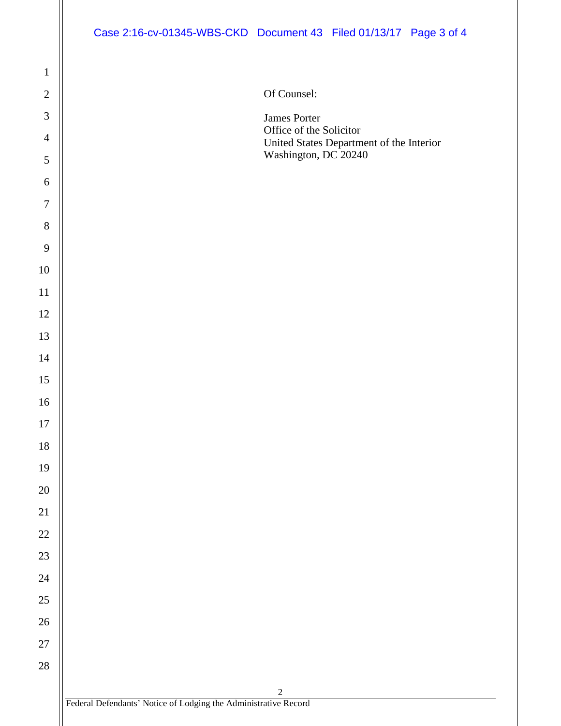## Case 2:16-cv-01345-WBS-CKD Document 43 Filed 01/13/17 Page 3 of 4

Of Counsel:

James Porter Office of the Solicitor United States Department of the Interior Washington, DC 20240